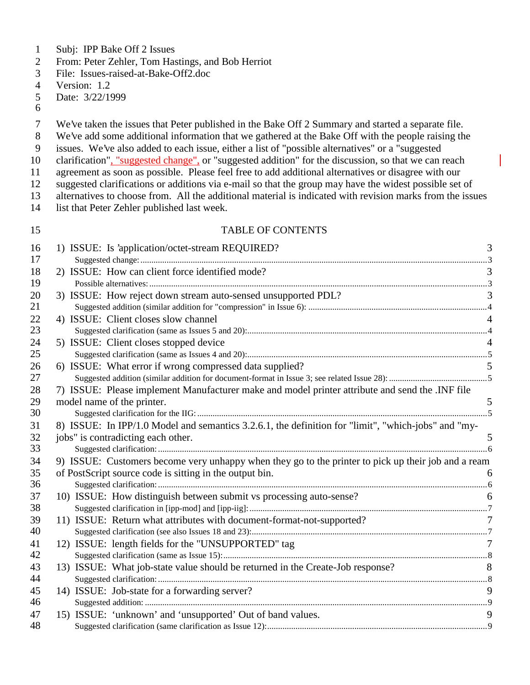- Subj: IPP Bake Off 2 Issues
- From: Peter Zehler, Tom Hastings, and Bob Herriot
- File: Issues-raised-at-Bake-Off2.doc
- Version: 1.2
- Date: 3/22/1999
- 
- We've taken the issues that Peter published in the Bake Off 2 Summary and started a separate file.
- We've add some additional information that we gathered at the Bake Off with the people raising the
- issues. We've also added to each issue, either a list of "possible alternatives" or a "suggested
- clarification", "suggested change", or "suggested addition" for the discussion, so that we can reach
- agreement as soon as possible. Please feel free to add additional alternatives or disagree with our
- suggested clarifications or additions via e-mail so that the group may have the widest possible set of
- alternatives to choose from. All the additional material is indicated with revision marks from the issues
- list that Peter Zehler published last week.

#### TABLE OF CONTENTS

| 16       | 1) ISSUE: Is 'application/octet-stream REQUIRED?                                                    | 3              |
|----------|-----------------------------------------------------------------------------------------------------|----------------|
| 17       | 2) ISSUE: How can client force identified mode?                                                     |                |
| 18<br>19 |                                                                                                     |                |
| 20       | 3) ISSUE: How reject down stream auto-sensed unsupported PDL?                                       | 3              |
| 21       |                                                                                                     |                |
| 22       | 4) ISSUE: Client closes slow channel                                                                |                |
| 23       |                                                                                                     |                |
| 24       | 5) ISSUE: Client closes stopped device                                                              |                |
| 25       |                                                                                                     |                |
| 26       | 6) ISSUE: What error if wrong compressed data supplied?                                             |                |
| 27       |                                                                                                     |                |
| 28       | 7) ISSUE: Please implement Manufacturer make and model printer attribute and send the .INF file     |                |
| 29       | model name of the printer.                                                                          | 5              |
| 30       |                                                                                                     |                |
| 31       | 8) ISSUE: In IPP/1.0 Model and semantics 3.2.6.1, the definition for "limit", "which-jobs" and "my- |                |
| 32       | jobs" is contradicting each other.                                                                  | 5              |
| 33       |                                                                                                     |                |
| 34       | 9) ISSUE: Customers become very unhappy when they go to the printer to pick up their job and a ream |                |
| 35       | of PostScript source code is sitting in the output bin.                                             | 6              |
| 36       |                                                                                                     |                |
| 37       | 10) ISSUE: How distinguish between submit vs processing auto-sense?                                 | 6              |
| 38       |                                                                                                     |                |
| 39       | 11) ISSUE: Return what attributes with document-format-not-supported?                               | $\overline{7}$ |
| 40       |                                                                                                     |                |
| 41       | 12) ISSUE: length fields for the "UNSUPPORTED" tag                                                  | $\overline{7}$ |
| 42       |                                                                                                     |                |
| 43<br>44 | 13) ISSUE: What job-state value should be returned in the Create-Job response?                      | 8              |
|          |                                                                                                     | 9              |
| 45<br>46 | 14) ISSUE: Job-state for a forwarding server?                                                       |                |
| 47       | 15) ISSUE: 'unknown' and 'unsupported' Out of band values.                                          | 9              |
| 48       |                                                                                                     |                |
|          |                                                                                                     |                |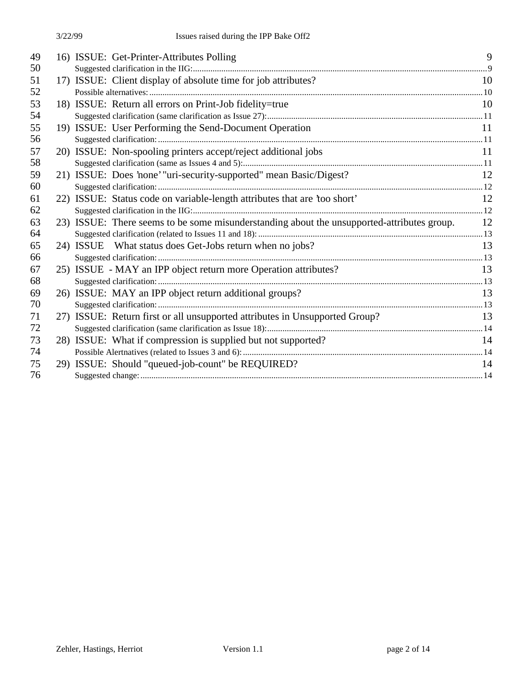| 49 | 16) ISSUE: Get-Printer-Attributes Polling                                                     | 9  |
|----|-----------------------------------------------------------------------------------------------|----|
| 50 |                                                                                               |    |
| 51 | 17) ISSUE: Client display of absolute time for job attributes?                                | 10 |
| 52 |                                                                                               |    |
| 53 | 18) ISSUE: Return all errors on Print-Job fidelity=true                                       | 10 |
| 54 |                                                                                               |    |
| 55 | 19) ISSUE: User Performing the Send-Document Operation                                        | 11 |
| 56 |                                                                                               |    |
| 57 | 20) ISSUE: Non-spooling printers accept/reject additional jobs                                | 11 |
| 58 |                                                                                               |    |
| 59 | 21) ISSUE: Does 'none' "uri-security-supported" mean Basic/Digest?                            | 12 |
| 60 |                                                                                               |    |
| 61 | 22) ISSUE: Status code on variable-length attributes that are 'too short'                     | 12 |
| 62 |                                                                                               |    |
| 63 | 23) ISSUE: There seems to be some misunderstanding about the unsupported-attributes group. 12 |    |
| 64 |                                                                                               |    |
| 65 | 24) ISSUE What status does Get-Jobs return when no jobs?                                      | 13 |
| 66 |                                                                                               |    |
| 67 | 25) ISSUE - MAY an IPP object return more Operation attributes?                               | 13 |
| 68 |                                                                                               |    |
| 69 | 26) ISSUE: MAY an IPP object return additional groups?                                        | 13 |
| 70 |                                                                                               |    |
| 71 | 27) ISSUE: Return first or all unsupported attributes in Unsupported Group?                   | 13 |
| 72 |                                                                                               |    |
| 73 | 28) ISSUE: What if compression is supplied but not supported?                                 | 14 |
| 74 |                                                                                               |    |
| 75 | 29) ISSUE: Should "queued-job-count" be REQUIRED?                                             | 14 |
| 76 |                                                                                               |    |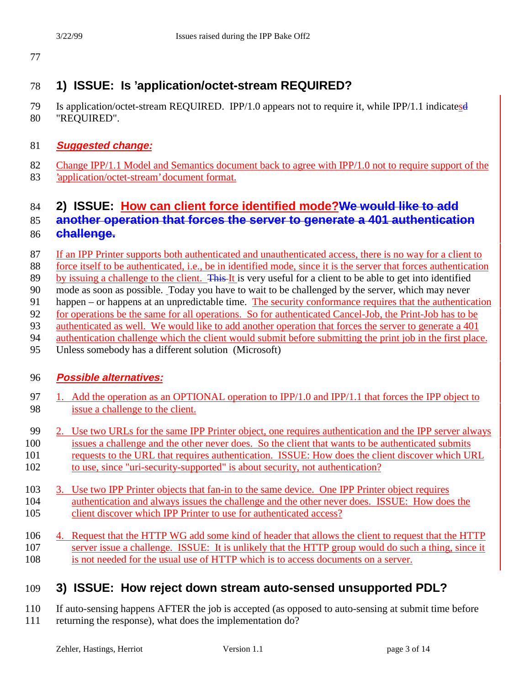# **1) ISSUE: Is 'application/octet-stream REQUIRED?**

 Is application/octet-stream REQUIRED. IPP/1.0 appears not to require it, while IPP/1.1 indicatesd "REQUIRED".

### **Suggested change:**

- 82 Change IPP/1.1 Model and Semantics document back to agree with IPP/1.0 not to require support of the
- 'application/octet-stream' document format.

# **2) ISSUE: How can client force identified mode?We would like to add**

### **another operation that forces the server to generate a 401 authentication challenge.**

- If an IPP Printer supports both authenticated and unauthenticated access, there is no way for a client to
- force itself to be authenticated, i.e., be in identified mode, since it is the server that forces authentication
- 89 by issuing a challenge to the client. This It is very useful for a client to be able to get into identified
- mode as soon as possible. Today you have to wait to be challenged by the server, which may never
- 91 happen or happens at an unpredictable time. The security conformance requires that the authentication
- for operations be the same for all operations. So for authenticated Cancel-Job, the Print-Job has to be
- authenticated as well. We would like to add another operation that forces the server to generate a 401
- 94 authentication challenge which the client would submit before submitting the print job in the first place.
- Unless somebody has a different solution (Microsoft)

#### **Possible alternatives:**

- 97 1. Add the operation as an OPTIONAL operation to IPP/1.0 and IPP/1.1 that forces the IPP object to issue a challenge to the client.
- 2. Use two URLs for the same IPP Printer object, one requires authentication and the IPP server always
- issues a challenge and the other never does. So the client that wants to be authenticated submits
- requests to the URL that requires authentication. ISSUE: How does the client discover which URL to use, since "uri-security-supported" is about security, not authentication?
- 103 3. Use two IPP Printer objects that fan-in to the same device. One IPP Printer object requires authentication and always issues the challenge and the other never does. ISSUE: How does the 105 client discover which IPP Printer to use for authenticated access?
- 4. Request that the HTTP WG add some kind of header that allows the client to request that the HTTP server issue a challenge. ISSUE: It is unlikely that the HTTP group would do such a thing, since it is not needed for the usual use of HTTP which is to access documents on a server.

# **3) ISSUE: How reject down stream auto-sensed unsupported PDL?**

 If auto-sensing happens AFTER the job is accepted (as opposed to auto-sensing at submit time before returning the response), what does the implementation do?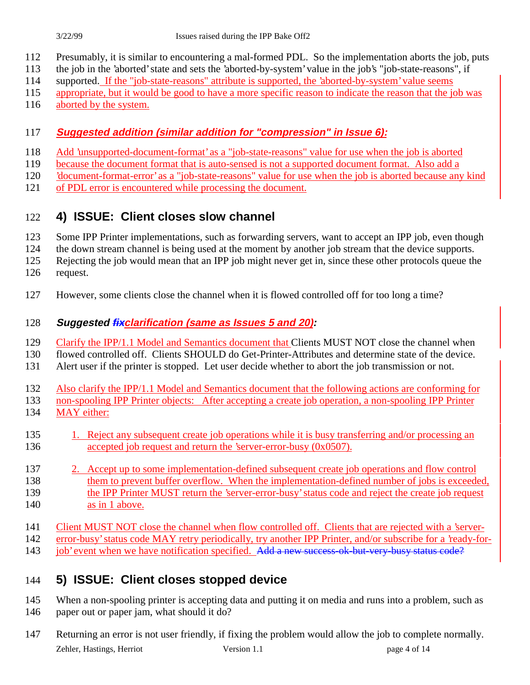- Presumably, it is similar to encountering a mal-formed PDL. So the implementation aborts the job, puts
- the job in the 'aborted' state and sets the 'aborted-by-system' value in the job's "job-state-reasons", if
- supported. If the "job-state-reasons" attribute is supported, the 'aborted-by-system' value seems
- appropriate, but it would be good to have a more specific reason to indicate the reason that the job was
- aborted by the system.

#### **Suggested addition (similar addition for "compression" in Issue 6):**

- Add 'unsupported-document-format' as a "job-state-reasons" value for use when the job is aborted
- because the document format that is auto-sensed is not a supported document format. Also add a
- 'document-format-error' as a "job-state-reasons" value for use when the job is aborted because any kind
- of PDL error is encountered while processing the document.

### **4) ISSUE: Client closes slow channel**

- 123 Some IPP Printer implementations, such as forwarding servers, want to accept an IPP job, even though
- the down stream channel is being used at the moment by another job stream that the device supports.
- Rejecting the job would mean that an IPP job might never get in, since these other protocols queue the
- request.
- However, some clients close the channel when it is flowed controlled off for too long a time?

### **Suggested fixclarification (same as Issues 5 and 20):**

- Clarify the IPP/1.1 Model and Semantics document that Clients MUST NOT close the channel when
- flowed controlled off. Clients SHOULD do Get-Printer-Attributes and determine state of the device.
- Alert user if the printer is stopped. Let user decide whether to abort the job transmission or not.
- Also clarify the IPP/1.1 Model and Semantics document that the following actions are conforming for
- non-spooling IPP Printer objects: After accepting a create job operation, a non-spooling IPP Printer
- MAY either:
- 135 1. Reject any subsequent create job operations while it is busy transferring and/or processing an 136 accepted job request and return the 'server-error-busy (0x0507).
- 2. Accept up to some implementation-defined subsequent create job operations and flow control them to prevent buffer overflow. When the implementation-defined number of jobs is exceeded, the IPP Printer MUST return the 'server-error-busy' status code and reject the create job request 140 as in 1 above.
- Client MUST NOT close the channel when flow controlled off. Clients that are rejected with a 'server-
- error-busy' status code MAY retry periodically, try another IPP Printer, and/or subscribe for a 'ready-for-
- 143 job' event when we have notification specified. Add a new success-ok-but-very-busy status code?

# **5) ISSUE: Client closes stopped device**

- 145 When a non-spooling printer is accepting data and putting it on media and runs into a problem, such as paper out or paper jam, what should it do?
- Zehler, Hastings, Herriot Version 1.1 page 4 of 14 Returning an error is not user friendly, if fixing the problem would allow the job to complete normally.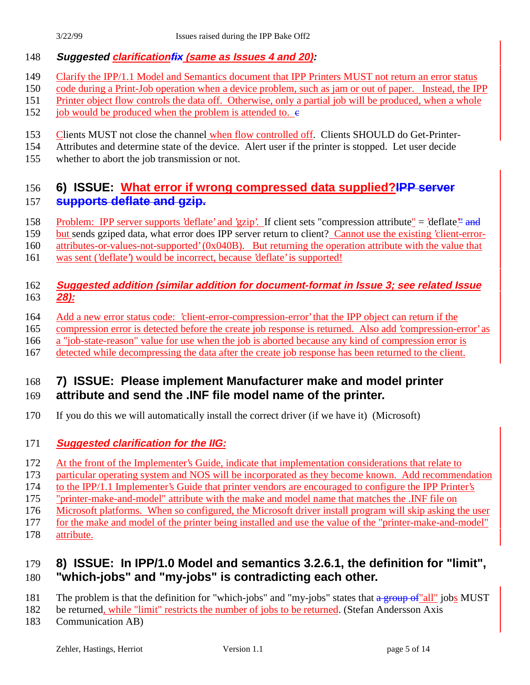#### **Suggested clarificationfix (same as Issues 4 and 20):**

- Clarify the IPP/1.1 Model and Semantics document that IPP Printers MUST not return an error status
- code during a Print-Job operation when a device problem, such as jam or out of paper. Instead, the IPP
- Printer object flow controls the data off. Otherwise, only a partial job will be produced, when a whole
- 152 job would be produced when the problem is attended to.  $\epsilon$
- 153 Clients MUST not close the channel when flow controlled off. Clients SHOULD do Get-Printer-
- Attributes and determine state of the device. Alert user if the printer is stopped. Let user decide
- whether to abort the job transmission or not.

### **6) ISSUE: What error if wrong compressed data supplied?IPP server supports deflate and gzip.**

158 Problem: IPP server supports 'deflate' and 'gzip'. If client sets "compression attribute" = 'deflate" and

but sends gziped data, what error does IPP server return to client? Cannot use the existing 'client-error-

attributes-or-values-not-supported' (0x040B). But returning the operation attribute with the value that

was sent ('deflate') would be incorrect, because 'deflate' is supported!

#### **Suggested addition (similar addition for document-format in Issue 3; see related Issue 28):**

- Add a new error status code: 'client-error-compression-error' that the IPP object can return if the
- compression error is detected before the create job response is returned. Also add 'compression-error' as
- a "job-state-reason" value for use when the job is aborted because any kind of compression error is
- detected while decompressing the data after the create job response has been returned to the client.

# **7) ISSUE: Please implement Manufacturer make and model printer**

### **attribute and send the .INF file model name of the printer.**

- If you do this we will automatically install the correct driver (if we have it) (Microsoft)
- **Suggested clarification for the IIG:**
- At the front of the Implementer's Guide, indicate that implementation considerations that relate to
- particular operating system and NOS will be incorporated as they become known. Add recommendation
- to the IPP/1.1 Implementer's Guide that printer vendors are encouraged to configure the IPP Printer's
- "printer-make-and-model" attribute with the make and model name that matches the .INF file on
- Microsoft platforms. When so configured, the Microsoft driver install program will skip asking the user
- for the make and model of the printer being installed and use the value of the "printer-make-and-model"
- attribute.

### **8) ISSUE: In IPP/1.0 Model and semantics 3.2.6.1, the definition for "limit", "which-jobs" and "my-jobs" is contradicting each other.**

- 181 The problem is that the definition for "which-jobs" and "my-jobs" states that a group of "all" jobs MUST
- 182 be returned, while "limit" restricts the number of jobs to be returned. (Stefan Andersson Axis
- Communication AB)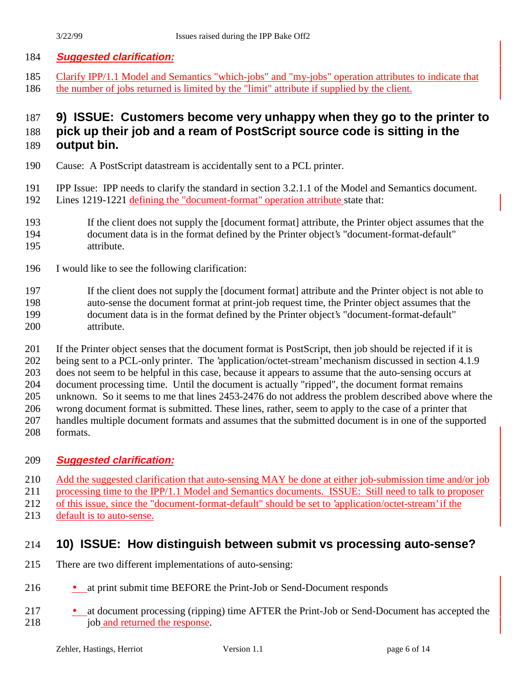#### **Suggested clarification:**

 Clarify IPP/1.1 Model and Semantics "which-jobs" and "my-jobs" operation attributes to indicate that the number of jobs returned is limited by the "limit" attribute if supplied by the client.

## **9) ISSUE: Customers become very unhappy when they go to the printer to pick up their job and a ream of PostScript source code is sitting in the**

- **output bin.**
- Cause: A PostScript datastream is accidentally sent to a PCL printer.
- IPP Issue: IPP needs to clarify the standard in section 3.2.1.1 of the Model and Semantics document. Lines 1219-1221 defining the "document-format" operation attribute state that:
- If the client does not supply the [document format] attribute, the Printer object assumes that the document data is in the format defined by the Printer object's "document-format-default" attribute.
- I would like to see the following clarification:

 If the client does not supply the [document format] attribute and the Printer object is not able to auto-sense the document format at print-job request time, the Printer object assumes that the document data is in the format defined by the Printer object's "document-format-default" attribute.

If the Printer object senses that the document format is PostScript, then job should be rejected if it is

 being sent to a PCL-only printer. The 'application/octet-stream' mechanism discussed in section 4.1.9 does not seem to be helpful in this case, because it appears to assume that the auto-sensing occurs at

document processing time. Until the document is actually "ripped", the document format remains

unknown. So it seems to me that lines 2453-2476 do not address the problem described above where the

wrong document format is submitted. These lines, rather, seem to apply to the case of a printer that

handles multiple document formats and assumes that the submitted document is in one of the supported

formats.

#### **Suggested clarification:**

210 Add the suggested clarification that auto-sensing MAY be done at either job-submission time and/or job

processing time to the IPP/1.1 Model and Semantics documents. ISSUE: Still need to talk to proposer

of this issue, since the "document-format-default" should be set to 'application/octet-stream' if the

default is to auto-sense.

### **10) ISSUE: How distinguish between submit vs processing auto-sense?**

- There are two different implementations of auto-sensing:
- 216 at print submit time BEFORE the Print-Job or Send-Document responds
- 217 at document processing (ripping) time AFTER the Print-Job or Send-Document has accepted the 218 job and returned the response.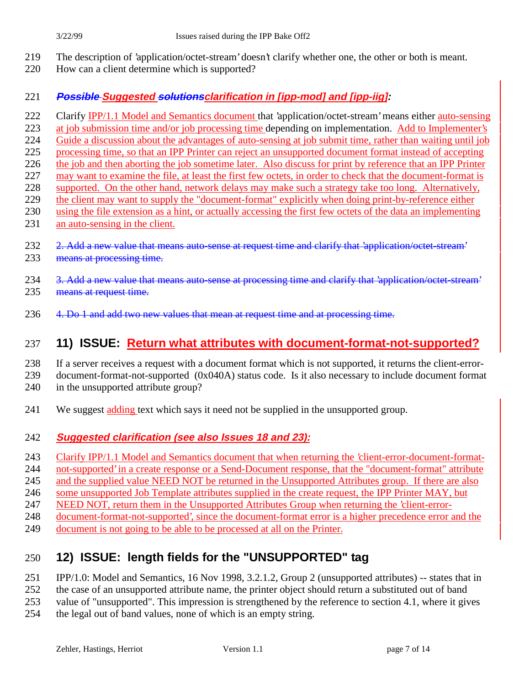- The description of 'application/octet-stream' doesn't clarify whether one, the other or both is meant.
- How can a client determine which is supported?

#### **Possible Suggested solutionsclarification in [ipp-mod] and [ipp-iig]:**

- 222 Clarify IPP/1.1 Model and Semantics document that 'application/octet-stream' means either auto-sensing
- at job submission time and/or job processing time depending on implementation. Add to Implementer's
- Guide a discussion about the advantages of auto-sensing at job submit time, rather than waiting until job
- processing time, so that an IPP Printer can reject an unsupported document format instead of accepting
- the job and then aborting the job sometime later. Also discuss for print by reference that an IPP Printer may want to examine the file, at least the first few octets, in order to check that the document-format is
- supported. On the other hand, network delays may make such a strategy take too long. Alternatively,
- 229 the client may want to supply the "document-format" explicitly when doing print-by-reference either
- using the file extension as a hint, or actually accessing the first few octets of the data an implementing an auto-sensing in the client.
- 232 2. Add a new value that means auto-sense at request time and clarify that 'application/octet-stream'
- 233 means at processing time.
- 234 3. Add a new value that means auto-sense at processing time and clarify that 'application/octet-stream' 235 means at request time.
- 236 4. Do 1 and add two new values that mean at request time and at processing time.

# **11) ISSUE: Return what attributes with document-format-not-supported?**

- If a server receives a request with a document format which is not supported, it returns the client-error-
- document-format-not-supported (0x040A) status code. Is it also necessary to include document format
- 240 in the unsupported attribute group?
- We suggest adding text which says it need not be supplied in the unsupported group.

### **Suggested clarification (see also Issues 18 and 23):**

- Clarify IPP/1.1 Model and Semantics document that when returning the 'client-error-document-format-
- not-supported' in a create response or a Send-Document response, that the "document-format" attribute
- and the supplied value NEED NOT be returned in the Unsupported Attributes group. If there are also
- some unsupported Job Template attributes supplied in the create request, the IPP Printer MAY, but
- NEED NOT, return them in the Unsupported Attributes Group when returning the 'client-error-
- document-format-not-supported', since the document-format error is a higher precedence error and the
- document is not going to be able to be processed at all on the Printer.

# **12) ISSUE: length fields for the "UNSUPPORTED" tag**

- IPP/1.0: Model and Semantics, 16 Nov 1998, 3.2.1.2, Group 2 (unsupported attributes) -- states that in
- the case of an unsupported attribute name, the printer object should return a substituted out of band
- value of "unsupported". This impression is strengthened by the reference to section 4.1, where it gives
- the legal out of band values, none of which is an empty string.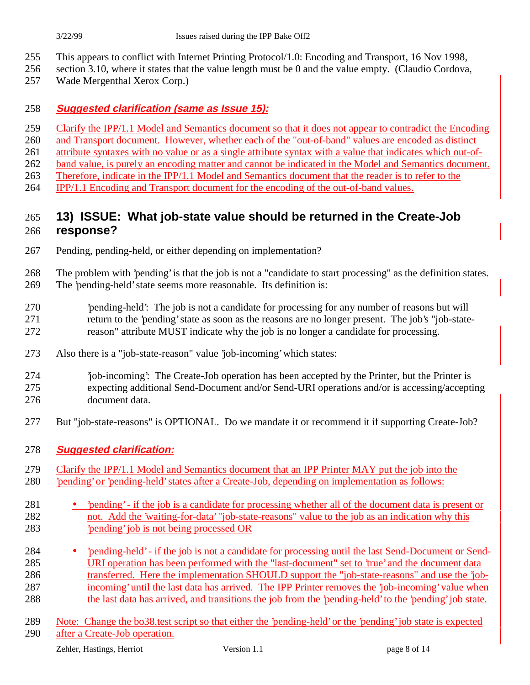- This appears to conflict with Internet Printing Protocol/1.0: Encoding and Transport, 16 Nov 1998,
- section 3.10, where it states that the value length must be 0 and the value empty. (Claudio Cordova,
- Wade Mergenthal Xerox Corp.)

#### **Suggested clarification (same as Issue 15):**

- 259 Clarify the IPP/1.1 Model and Semantics document so that it does not appear to contradict the Encoding
- and Transport document. However, whether each of the "out-of-band" values are encoded as distinct
- attribute syntaxes with no value or as a single attribute syntax with a value that indicates which out-of-
- band value, is purely an encoding matter and cannot be indicated in the Model and Semantics document.
- Therefore, indicate in the IPP/1.1 Model and Semantics document that the reader is to refer to the
- IPP/1.1 Encoding and Transport document for the encoding of the out-of-band values.

### **13) ISSUE: What job-state value should be returned in the Create-Job response?**

- Pending, pending-held, or either depending on implementation?
- The problem with 'pending' is that the job is not a "candidate to start processing" as the definition states. The 'pending-held' state seems more reasonable. Its definition is:
- 'pending-held': The job is not a candidate for processing for any number of reasons but will return to the 'pending' state as soon as the reasons are no longer present. The job's "job-state-reason" attribute MUST indicate why the job is no longer a candidate for processing.
- Also there is a "job-state-reason" value 'job-incoming' which states:
- 'job-incoming': The Create-Job operation has been accepted by the Printer, but the Printer is expecting additional Send-Document and/or Send-URI operations and/or is accessing/accepting document data.
- But "job-state-reasons" is OPTIONAL. Do we mandate it or recommend it if supporting Create-Job?
- **Suggested clarification:**
- Clarify the IPP/1.1 Model and Semantics document that an IPP Printer MAY put the job into the 'pending' or 'pending-held' states after a Create-Job, depending on implementation as follows:
- 'pending' if the job is a candidate for processing whether all of the document data is present or not. Add the 'waiting-for-data' "job-state-reasons" value to the job as an indication why this 'pending' job is not being processed OR
- 'pending-held' if the job is not a candidate for processing until the last Send-Document or Send- URI operation has been performed with the "last-document" set to 'true' and the document data 286 transferred. Here the implementation SHOULD support the "job-state-reasons" and use the 'job- incoming' until the last data has arrived. The IPP Printer removes the 'job-incoming' value when the last data has arrived, and transitions the job from the 'pending-held' to the 'pending' job state.
- Note: Change the bo38.test script so that either the 'pending-held' or the 'pending' job state is expected after a Create-Job operation.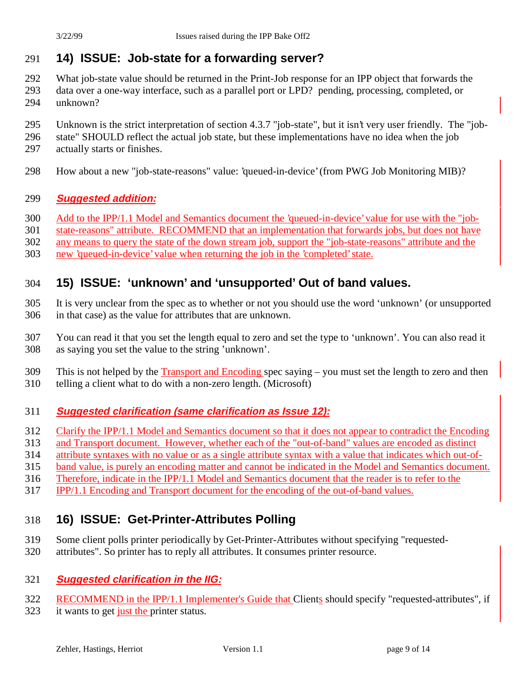### **14) ISSUE: Job-state for a forwarding server?**

- What job-state value should be returned in the Print-Job response for an IPP object that forwards the
- data over a one-way interface, such as a parallel port or LPD? pending, processing, completed, or unknown?
- Unknown is the strict interpretation of section 4.3.7 "job-state", but it isn't very user friendly. The "job-
- state" SHOULD reflect the actual job state, but these implementations have no idea when the job
- actually starts or finishes.
- How about a new "job-state-reasons" value: 'queued-in-device' (from PWG Job Monitoring MIB)?

#### **Suggested addition:**

- Add to the IPP/1.1 Model and Semantics document the 'queued-in-device' value for use with the "job-
- state-reasons" attribute. RECOMMEND that an implementation that forwards jobs, but does not have
- any means to query the state of the down stream job, support the "job-state-reasons" attribute and the
- new 'queued-in-device' value when returning the job in the 'completed' state.

### **15) ISSUE: 'unknown' and 'unsupported' Out of band values.**

- It is very unclear from the spec as to whether or not you should use the word 'unknown' (or unsupported in that case) as the value for attributes that are unknown.
- You can read it that you set the length equal to zero and set the type to 'unknown'. You can also read it as saying you set the value to the string 'unknown'.
- This is not helped by the Transport and Encoding spec saying you must set the length to zero and then
- telling a client what to do with a non-zero length. (Microsoft)

#### **Suggested clarification (same clarification as Issue 12):**

- Clarify the IPP/1.1 Model and Semantics document so that it does not appear to contradict the Encoding
- and Transport document. However, whether each of the "out-of-band" values are encoded as distinct
- attribute syntaxes with no value or as a single attribute syntax with a value that indicates which out-of-
- band value, is purely an encoding matter and cannot be indicated in the Model and Semantics document.
- Therefore, indicate in the IPP/1.1 Model and Semantics document that the reader is to refer to the
- IPP/1.1 Encoding and Transport document for the encoding of the out-of-band values.

### **16) ISSUE: Get-Printer-Attributes Polling**

- Some client polls printer periodically by Get-Printer-Attributes without specifying "requested-
- attributes". So printer has to reply all attributes. It consumes printer resource.

#### **Suggested clarification in the IIG:**

- 322 RECOMMEND in the IPP/1.1 Implementer's Guide that Clients should specify "requested-attributes", if
- 323 it wants to get just the printer status.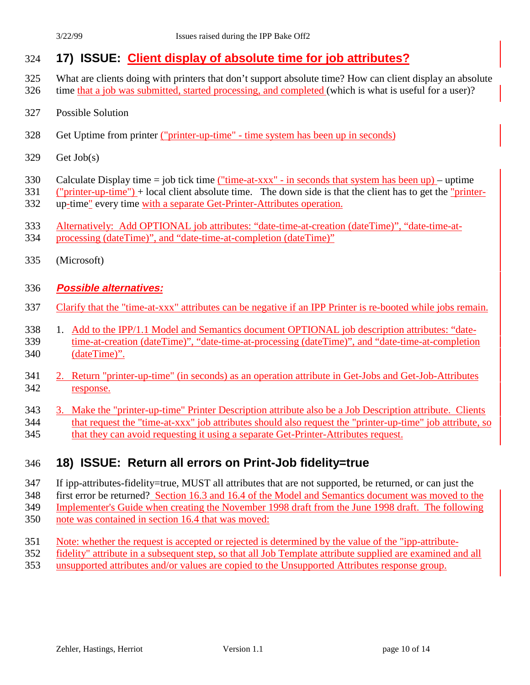### **17) ISSUE: Client display of absolute time for job attributes?**

- What are clients doing with printers that don't support absolute time? How can client display an absolute time that a job was submitted, started processing, and completed (which is what is useful for a user)?
- Possible Solution
- Get Uptime from printer ("printer-up-time" time system has been up in seconds)
- Get Job(s)
- 330 Calculate Display time = job tick time ("time-at-xxx" in seconds that system has been up) uptime
- ("printer-up-time") + local client absolute time. The down side is that the client has to get the "printer-up-time" every time with a separate Get-Printer-Attributes operation.
- Alternatively: Add OPTIONAL job attributes: "date-time-at-creation (dateTime)", "date-time-at-
- processing (dateTime)", and "date-time-at-completion (dateTime)"
- (Microsoft)

#### **Possible alternatives:**

- Clarify that the "time-at-xxx" attributes can be negative if an IPP Printer is re-booted while jobs remain.
- 1. Add to the IPP/1.1 Model and Semantics document OPTIONAL job description attributes: "date- time-at-creation (dateTime)", "date-time-at-processing (dateTime)", and "date-time-at-completion (dateTime)".
- 2. Return "printer-up-time" (in seconds) as an operation attribute in Get-Jobs and Get-Job-Attributes response.
- 3. Make the "printer-up-time" Printer Description attribute also be a Job Description attribute. Clients that request the "time-at-xxx" job attributes should also request the "printer-up-time" job attribute, so that they can avoid requesting it using a separate Get-Printer-Attributes request.

### **18) ISSUE: Return all errors on Print-Job fidelity=true**

- If ipp-attributes-fidelity=true, MUST all attributes that are not supported, be returned, or can just the first error be returned? Section 16.3 and 16.4 of the Model and Semantics document was moved to the Implementer's Guide when creating the November 1998 draft from the June 1998 draft. The following
- note was contained in section 16.4 that was moved:
- 
- Note: whether the request is accepted or rejected is determined by the value of the "ipp-attribute-
- fidelity" attribute in a subsequent step, so that all Job Template attribute supplied are examined and all
- unsupported attributes and/or values are copied to the Unsupported Attributes response group.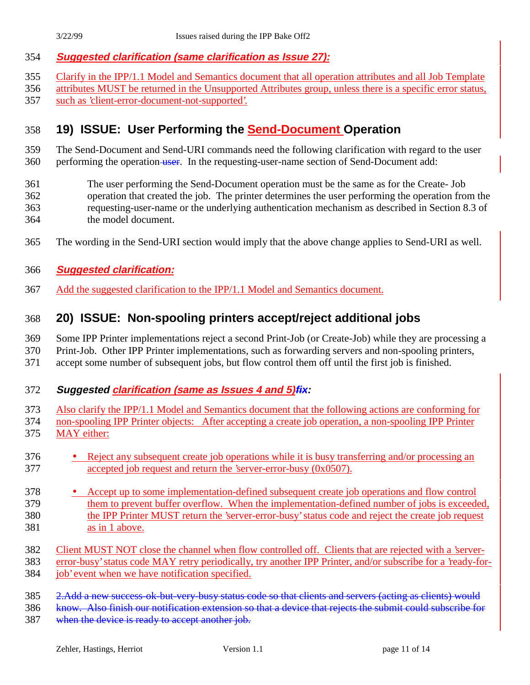#### **Suggested clarification (same clarification as Issue 27):**

- Clarify in the IPP/1.1 Model and Semantics document that all operation attributes and all Job Template
- attributes MUST be returned in the Unsupported Attributes group, unless there is a specific error status,
- such as 'client-error-document-not-supported'.

## **19) ISSUE: User Performing the Send-Document Operation**

#### The Send-Document and Send-URI commands need the following clarification with regard to the user 360 performing the operation user. In the requesting-user-name section of Send-Document add:

- The user performing the Send-Document operation must be the same as for the Create- Job operation that created the job. The printer determines the user performing the operation from the requesting-user-name or the underlying authentication mechanism as described in Section 8.3 of the model document.
- The wording in the Send-URI section would imply that the above change applies to Send-URI as well.
- **Suggested clarification:**
- Add the suggested clarification to the IPP/1.1 Model and Semantics document.

### **20) ISSUE: Non-spooling printers accept/reject additional jobs**

 Some IPP Printer implementations reject a second Print-Job (or Create-Job) while they are processing a Print-Job. Other IPP Printer implementations, such as forwarding servers and non-spooling printers,

accept some number of subsequent jobs, but flow control them off until the first job is finished.

#### **Suggested clarification (same as Issues 4 and 5)fix:**

Also clarify the IPP/1.1 Model and Semantics document that the following actions are conforming for

- non-spooling IPP Printer objects: After accepting a create job operation, a non-spooling IPP Printer MAY either:
- Reject any subsequent create job operations while it is busy transferring and/or processing an
- accepted job request and return the 'server-error-busy (0x0507).
- Accept up to some implementation-defined subsequent create job operations and flow control them to prevent buffer overflow. When the implementation-defined number of jobs is exceeded, the IPP Printer MUST return the 'server-error-busy' status code and reject the create job request as in 1 above.
- Client MUST NOT close the channel when flow controlled off. Clients that are rejected with a 'server-
- error-busy' status code MAY retry periodically, try another IPP Printer, and/or subscribe for a 'ready-for-
- job' event when we have notification specified.
- 2.Add a new success-ok-but-very-busy status code so that clients and servers (acting as clients) would
- know. Also finish our notification extension so that a device that rejects the submit could subscribe for
- when the device is ready to accept another job.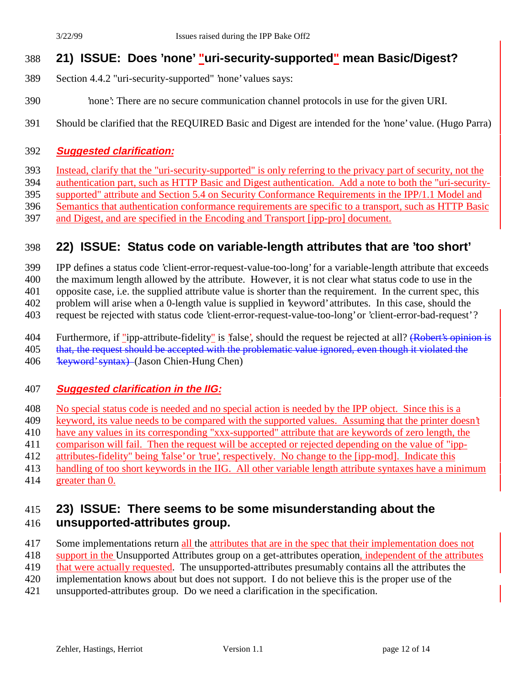### **21) ISSUE: Does 'none' "uri-security-supported" mean Basic/Digest?**

- Section 4.4.2 "uri-security-supported" 'none' values says:
- 'none': There are no secure communication channel protocols in use for the given URI.
- Should be clarified that the REQUIRED Basic and Digest are intended for the 'none' value. (Hugo Parra)

#### **Suggested clarification:**

Instead, clarify that the "uri-security-supported" is only referring to the privacy part of security, not the

authentication part, such as HTTP Basic and Digest authentication. Add a note to both the "uri-security-

supported" attribute and Section 5.4 on Security Conformance Requirements in the IPP/1.1 Model and

Semantics that authentication conformance requirements are specific to a transport, such as HTTP Basic

and Digest, and are specified in the Encoding and Transport [ipp-pro] document.

### **22) ISSUE: Status code on variable-length attributes that are 'too short'**

IPP defines a status code 'client-error-request-value-too-long' for a variable-length attribute that exceeds

the maximum length allowed by the attribute. However, it is not clear what status code to use in the

opposite case, i.e. the supplied attribute value is shorter than the requirement. In the current spec, this

problem will arise when a 0-length value is supplied in 'keyword' attributes. In this case, should the

request be rejected with status code 'client-error-request-value-too-long' or 'client-error-bad-request' ?

404 Furthermore, if "ipp-attribute-fidelity" is 'false', should the request be rejected at all? (Robert's opinion is

405 that, the request should be accepted with the problematic value ignored, even though it violated the

406 <del>'keyword' syntax)</del> (Jason Chien-Hung Chen)

#### **Suggested clarification in the IIG:**

- No special status code is needed and no special action is needed by the IPP object. Since this is a
- keyword, its value needs to be compared with the supported values. Assuming that the printer doesn't
- 410 have any values in its corresponding "xxx-supported" attribute that are keywords of zero length, the
- comparison will fail. Then the request will be accepted or rejected depending on the value of "ipp-
- attributes-fidelity" being 'false' or 'true', respectively. No change to the [ipp-mod]. Indicate this
- handling of too short keywords in the IIG. All other variable length attribute syntaxes have a minimum greater than 0.

# **23) ISSUE: There seems to be some misunderstanding about the unsupported-attributes group.**

- 417 Some implementations return all the attributes that are in the spec that their implementation does not
- 418 support in the Unsupported Attributes group on a get-attributes operation, independent of the attributes
- 419 that were actually requested. The unsupported-attributes presumably contains all the attributes the
- implementation knows about but does not support. I do not believe this is the proper use of the
- unsupported-attributes group. Do we need a clarification in the specification.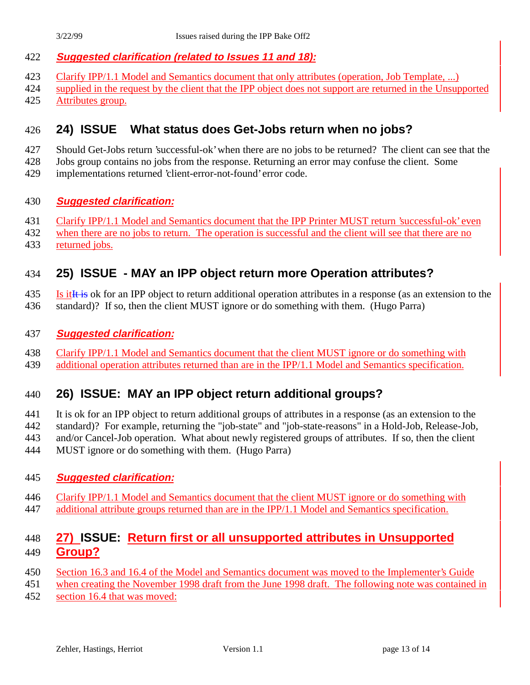#### **Suggested clarification (related to Issues 11 and 18):**

- Clarify IPP/1.1 Model and Semantics document that only attributes (operation, Job Template, ...)
- supplied in the request by the client that the IPP object does not support are returned in the Unsupported
- 425 Attributes group.

### **24) ISSUE What status does Get-Jobs return when no jobs?**

- Should Get-Jobs return 'successful-ok' when there are no jobs to be returned? The client can see that the
- Jobs group contains no jobs from the response. Returning an error may confuse the client. Some
- implementations returned 'client-error-not-found' error code.

#### **Suggested clarification:**

- Clarify IPP/1.1 Model and Semantics document that the IPP Printer MUST return 'successful-ok' even
- when there are no jobs to return. The operation is successful and the client will see that there are no
- returned jobs.

### **25) ISSUE - MAY an IPP object return more Operation attributes?**

- 435 Is it It is ok for an IPP object to return additional operation attributes in a response (as an extension to the
- standard)? If so, then the client MUST ignore or do something with them. (Hugo Parra)

#### **Suggested clarification:**

- Clarify IPP/1.1 Model and Semantics document that the client MUST ignore or do something with
- additional operation attributes returned than are in the IPP/1.1 Model and Semantics specification.

### **26) ISSUE: MAY an IPP object return additional groups?**

- It is ok for an IPP object to return additional groups of attributes in a response (as an extension to the
- standard)? For example, returning the "job-state" and "job-state-reasons" in a Hold-Job, Release-Job,
- and/or Cancel-Job operation. What about newly registered groups of attributes. If so, then the client
- MUST ignore or do something with them. (Hugo Parra)

#### **Suggested clarification:**

- Clarify IPP/1.1 Model and Semantics document that the client MUST ignore or do something with
- 447 additional attribute groups returned than are in the IPP/1.1 Model and Semantics specification.

### **27) ISSUE: Return first or all unsupported attributes in Unsupported Group?**

- Section 16.3 and 16.4 of the Model and Semantics document was moved to the Implementer's Guide
- when creating the November 1998 draft from the June 1998 draft. The following note was contained in
- section 16.4 that was moved: